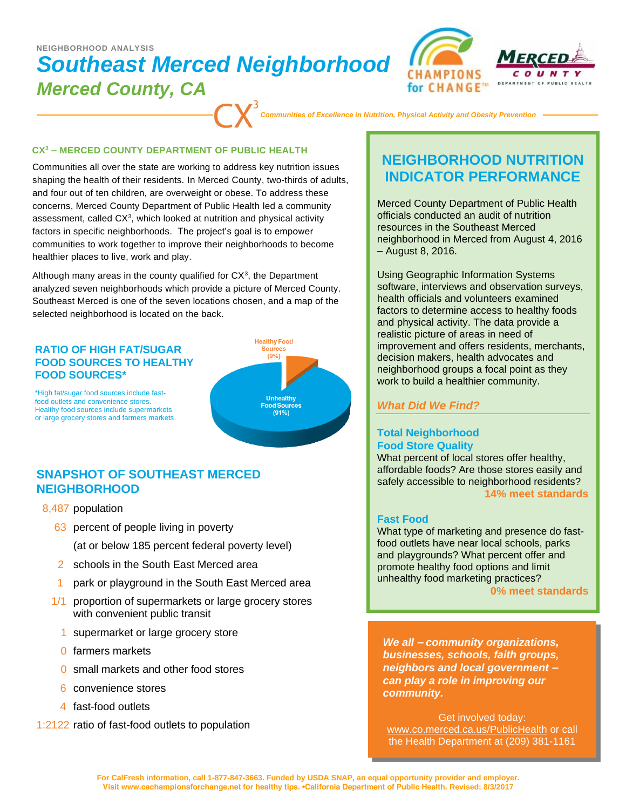# *Southeast Merced Neighborhood Merced County, CA*  **NEIGHBORHOOD ANALYSIS**





*Communities of Excellence in Nutrition, Physical Activity and Obesity Prevention*

#### **CX<sup>3</sup> – MERCED COUNTY DEPARTMENT OF PUBLIC HEALTH**

Communities all over the state are working to address key nutrition issues shaping the health of their residents. In Merced County, two-thirds of adults, and four out of ten children, are overweight or obese. To address these concerns, Merced County Department of Public Health led a community assessment, called  $CX<sup>3</sup>$ , which looked at nutrition and physical activity factors in specific neighborhoods. The project's goal is to empower communities to work together to improve their neighborhoods to become healthier places to live, work and play.

Although many areas in the county qualified for  $CX<sup>3</sup>$ , the Department analyzed seven neighborhoods which provide a picture of Merced County. Southeast Merced is one of the seven locations chosen, and a map of the selected neighborhood is located on the back.

#### **RATIO OF HIGH FAT/SUGAR FOOD SOURCES TO HEALTHY FOOD SOURCES\***



\*High fat/sugar food sources include fastfood outlets and convenience stores. Healthy food sources include supermarkets or large grocery stores and farmers markets.

### **SNAPSHOT OF SOUTHEAST MERCED NEIGHBORHOOD**

- 8,487 population
	- 63 percent of people living in poverty (at or below 185 percent federal poverty level)
	- 2 schools in the South East Merced area
	- park or playground in the South East Merced area
	- 1/1 proportion of supermarkets or large grocery stores with convenient public transit
		- 1 supermarket or large grocery store
		- 0 farmers markets
		- 0 small markets and other food stores
		- 6 convenience stores
		- 4 fast-food outlets
- 1:2122 ratio of fast-food outlets to population

## **NEIGHBORHOOD NUTRITION INDICATOR PERFORMANCE**

Merced County Department of Public Health officials conducted an audit of nutrition resources in the Southeast Merced neighborhood in Merced from August 4, 2016 – August 8, 2016.

Using Geographic Information Systems software, interviews and observation surveys, health officials and volunteers examined factors to determine access to healthy foods and physical activity. The data provide a realistic picture of areas in need of improvement and offers residents, merchants, decision makers, health advocates and neighborhood groups a focal point as they work to build a healthier community.

### *What Did We Find?*

### **Total Neighborhood Food Store Quality**

What percent of local stores offer healthy, affordable foods? Are those stores easily and safely accessible to neighborhood residents? **14% meet standards**

### **Fast Food**

What type of marketing and presence do fastfood outlets have near local schools, parks and playgrounds? What percent offer and promote healthy food options and limit unhealthy food marketing practices?

**0% meet standards**

*We all – community organizations, businesses, schools, faith groups, neighbors and local government – can play a role in improving our community.*

Get involved today: www.co.merced.ca.us/PublicHealth or call the Health Department at (209) 381-1161